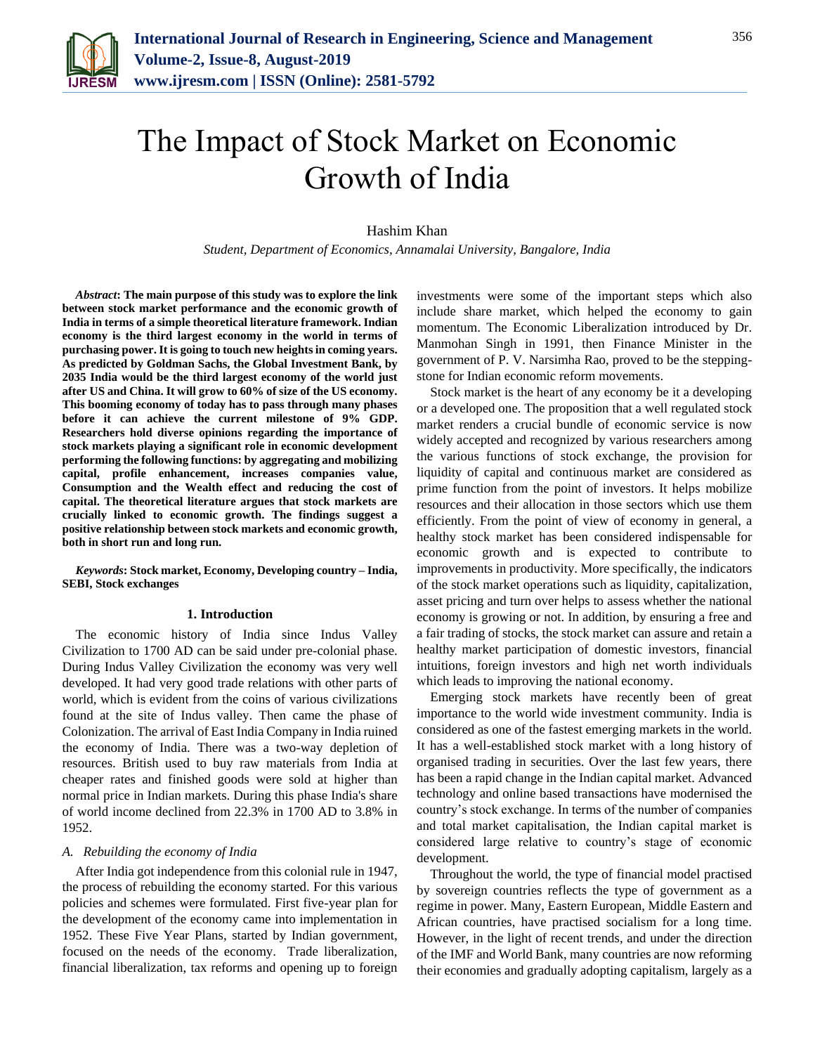

# The Impact of Stock Market on Economic Growth of India

# Hashim Khan

*Student, Department of Economics, Annamalai University, Bangalore, India*

*Abstract***: The main purpose of this study was to explore the link between stock market performance and the economic growth of India in terms of a simple theoretical literature framework. Indian economy is the third largest economy in the world in terms of purchasing power. It is going to touch new heights in coming years. As predicted by Goldman Sachs, the Global Investment Bank, by 2035 India would be the third largest economy of the world just after US and China. It will grow to 60% of size of the US economy. This booming economy of today has to pass through many phases before it can achieve the current milestone of 9% GDP. Researchers hold diverse opinions regarding the importance of stock markets playing a significant role in economic development performing the following functions: by aggregating and mobilizing capital, profile enhancement, increases companies value, Consumption and the Wealth effect and reducing the cost of capital. The theoretical literature argues that stock markets are crucially linked to economic growth. The findings suggest a positive relationship between stock markets and economic growth, both in short run and long run.**

*Keywords***: Stock market, Economy, Developing country – India, SEBI, Stock exchanges**

#### **1. Introduction**

The economic history of India since Indus Valley Civilization to 1700 AD can be said under pre-colonial phase. During Indus Valley Civilization the economy was very well developed. It had very good trade relations with other parts of world, which is evident from the coins of various civilizations found at the site of Indus valley. Then came the phase of Colonization. The arrival of East India Company in India ruined the economy of India. There was a two-way depletion of resources. British used to buy raw materials from India at cheaper rates and finished goods were sold at higher than normal price in Indian markets. During this phase India's share of world income declined from 22.3% in 1700 AD to 3.8% in 1952.

#### *A. Rebuilding the economy of India*

After India got independence from this colonial rule in 1947, the process of rebuilding the economy started. For this various policies and schemes were formulated. First five-year plan for the development of the economy came into implementation in 1952. These Five Year Plans, started by Indian government, focused on the needs of the economy. Trade liberalization, financial liberalization, tax reforms and opening up to foreign

investments were some of the important steps which also include share market, which helped the economy to gain momentum. The Economic Liberalization introduced by Dr. Manmohan Singh in 1991, then Finance Minister in the government of P. V. Narsimha Rao, proved to be the steppingstone for Indian economic reform movements.

Stock market is the heart of any economy be it a developing or a developed one. The proposition that a well regulated stock market renders a crucial bundle of economic service is now widely accepted and recognized by various researchers among the various functions of stock exchange, the provision for liquidity of capital and continuous market are considered as prime function from the point of investors. It helps mobilize resources and their allocation in those sectors which use them efficiently. From the point of view of economy in general, a healthy stock market has been considered indispensable for economic growth and is expected to contribute to improvements in productivity. More specifically, the indicators of the stock market operations such as liquidity, capitalization, asset pricing and turn over helps to assess whether the national economy is growing or not. In addition, by ensuring a free and a fair trading of stocks, the stock market can assure and retain a healthy market participation of domestic investors, financial intuitions, foreign investors and high net worth individuals which leads to improving the national economy.

Emerging stock markets have recently been of great importance to the world wide investment community. India is considered as one of the fastest emerging markets in the world. It has a well-established stock market with a long history of organised trading in securities. Over the last few years, there has been a rapid change in the Indian capital market. Advanced technology and online based transactions have modernised the country's stock exchange. In terms of the number of companies and total market capitalisation, the Indian capital market is considered large relative to country's stage of economic development.

Throughout the world, the type of financial model practised by sovereign countries reflects the type of government as a regime in power. Many, Eastern European, Middle Eastern and African countries, have practised socialism for a long time. However, in the light of recent trends, and under the direction of the IMF and World Bank, many countries are now reforming their economies and gradually adopting capitalism, largely as a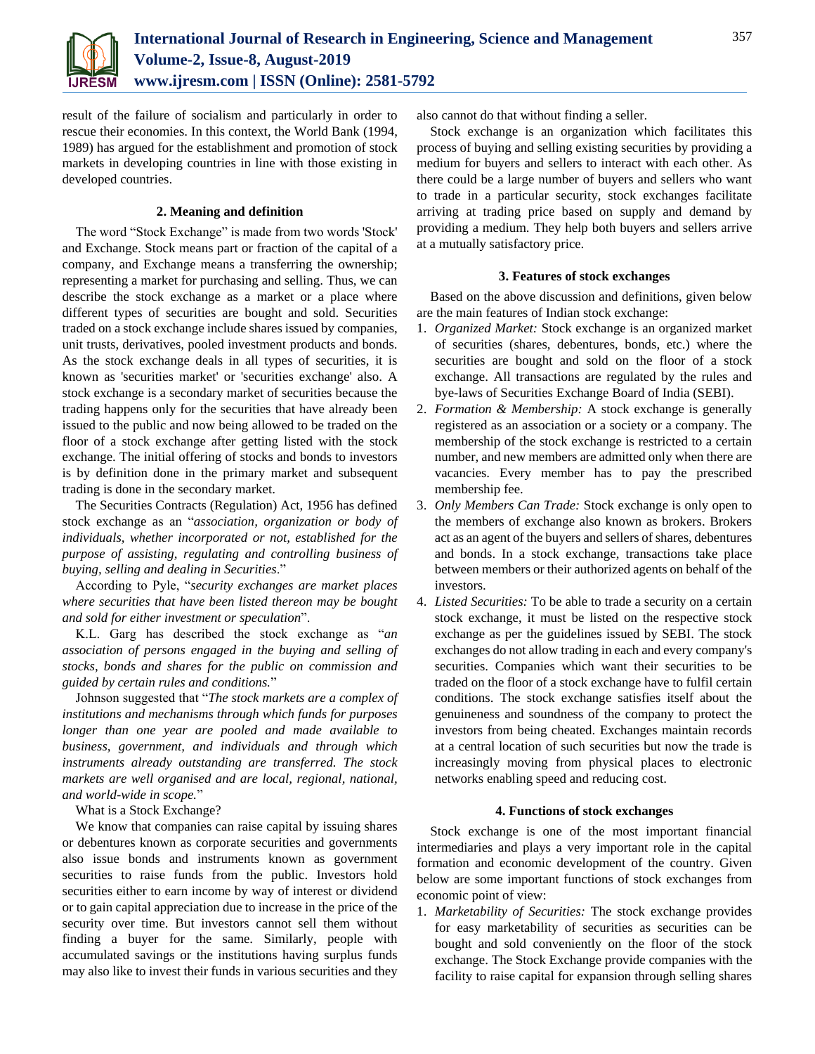

result of the failure of socialism and particularly in order to rescue their economies. In this context, the World Bank (1994, 1989) has argued for the establishment and promotion of stock markets in developing countries in line with those existing in developed countries.

# **2. Meaning and definition**

The word "Stock Exchange" is made from two words 'Stock' and Exchange. Stock means part or fraction of the capital of a company, and Exchange means a transferring the ownership; representing a market for purchasing and selling. Thus, we can describe the stock exchange as a market or a place where different types of securities are bought and sold. Securities traded on a stock exchange include shares issued by companies, unit trusts, derivatives, pooled investment products and bonds. As the stock exchange deals in all types of securities, it is known as 'securities market' or 'securities exchange' also. A stock exchange is a secondary market of securities because the trading happens only for the securities that have already been issued to the public and now being allowed to be traded on the floor of a stock exchange after getting listed with the stock exchange. The initial offering of stocks and bonds to investors is by definition done in the primary market and subsequent trading is done in the secondary market.

The Securities Contracts (Regulation) Act, 1956 has defined stock exchange as an "*association, organization or body of individuals, whether incorporated or not, established for the purpose of assisting, regulating and controlling business of buying, selling and dealing in Securities*."

According to Pyle, "*security exchanges are market places where securities that have been listed thereon may be bought and sold for either investment or speculation*".

K.L. Garg has described the stock exchange as "*an association of persons engaged in the buying and selling of stocks, bonds and shares for the public on commission and guided by certain rules and conditions.*"

Johnson suggested that "*The stock markets are a complex of institutions and mechanisms through which funds for purposes longer than one year are pooled and made available to business, government, and individuals and through which instruments already outstanding are transferred. The stock markets are well organised and are local, regional, national, and world-wide in scope.*"

What is a Stock Exchange?

We know that companies can raise capital by issuing shares or debentures known as corporate securities and governments also issue bonds and instruments known as government securities to raise funds from the public. Investors hold securities either to earn income by way of interest or dividend or to gain capital appreciation due to increase in the price of the security over time. But investors cannot sell them without finding a buyer for the same. Similarly, people with accumulated savings or the institutions having surplus funds may also like to invest their funds in various securities and they also cannot do that without finding a seller.

Stock exchange is an organization which facilitates this process of buying and selling existing securities by providing a medium for buyers and sellers to interact with each other. As there could be a large number of buyers and sellers who want to trade in a particular security, stock exchanges facilitate arriving at trading price based on supply and demand by providing a medium. They help both buyers and sellers arrive at a mutually satisfactory price.

# **3. Features of stock exchanges**

Based on the above discussion and definitions, given below are the main features of Indian stock exchange:

- 1. *Organized Market:* Stock exchange is an organized market of securities (shares, debentures, bonds, etc.) where the securities are bought and sold on the floor of a stock exchange. All transactions are regulated by the rules and bye-laws of Securities Exchange Board of India (SEBI).
- 2. *Formation & Membership:* A stock exchange is generally registered as an association or a society or a company. The membership of the stock exchange is restricted to a certain number, and new members are admitted only when there are vacancies. Every member has to pay the prescribed membership fee.
- 3. *Only Members Can Trade:* Stock exchange is only open to the members of exchange also known as brokers. Brokers act as an agent of the buyers and sellers of shares, debentures and bonds. In a stock exchange, transactions take place between members or their authorized agents on behalf of the investors.
- 4. *Listed Securities:* To be able to trade a security on a certain stock exchange, it must be listed on the respective stock exchange as per the guidelines issued by SEBI. The stock exchanges do not allow trading in each and every company's securities. Companies which want their securities to be traded on the floor of a stock exchange have to fulfil certain conditions. The stock exchange satisfies itself about the genuineness and soundness of the company to protect the investors from being cheated. Exchanges maintain records at a central location of such securities but now the trade is increasingly moving from physical places to electronic networks enabling speed and reducing cost.

# **4. Functions of stock exchanges**

Stock exchange is one of the most important financial intermediaries and plays a very important role in the capital formation and economic development of the country. Given below are some important functions of stock exchanges from economic point of view:

1. *Marketability of Securities:* The stock exchange provides for easy marketability of securities as securities can be bought and sold conveniently on the floor of the stock exchange. The Stock Exchange provide companies with the facility to raise capital for expansion through selling shares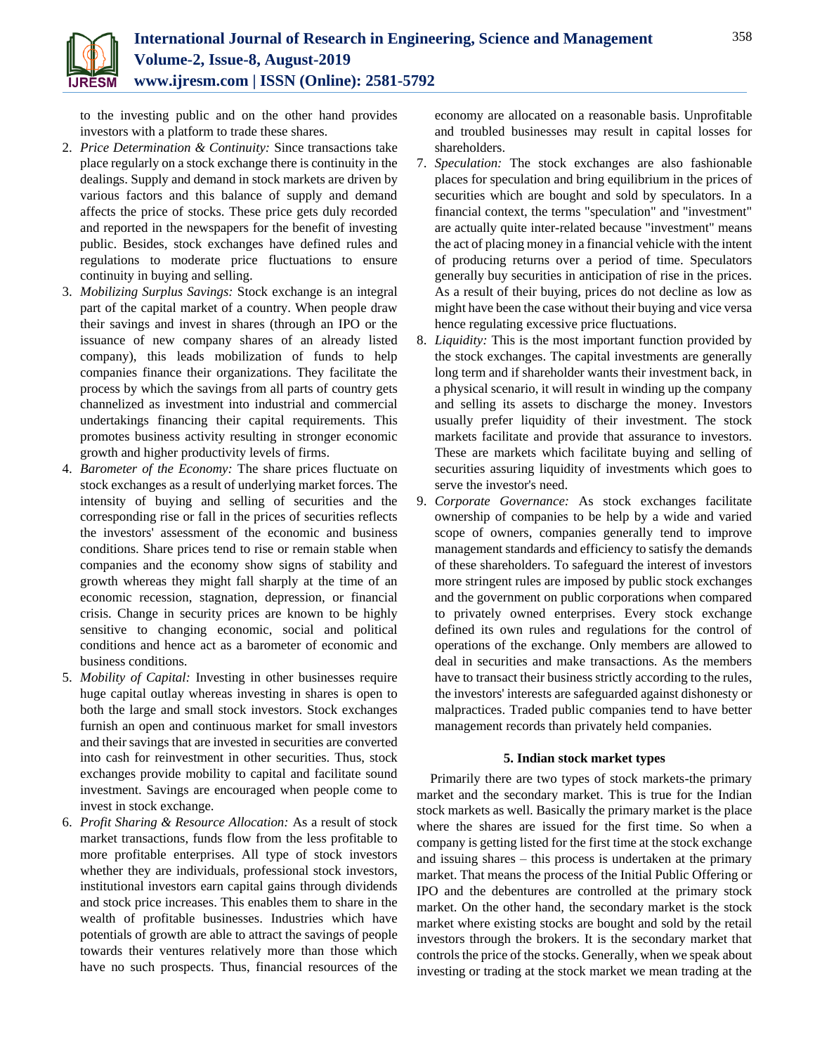

to the investing public and on the other hand provides investors with a platform to trade these shares.

- 2. *Price Determination & Continuity:* Since transactions take place regularly on a stock exchange there is continuity in the dealings. Supply and demand in stock markets are driven by various factors and this balance of supply and demand affects the price of stocks. These price gets duly recorded and reported in the newspapers for the benefit of investing public. Besides, stock exchanges have defined rules and regulations to moderate price fluctuations to ensure continuity in buying and selling.
- 3. *Mobilizing Surplus Savings:* Stock exchange is an integral part of the capital market of a country. When people draw their savings and invest in shares (through an IPO or the issuance of new company shares of an already listed company), this leads mobilization of funds to help companies finance their organizations. They facilitate the process by which the savings from all parts of country gets channelized as investment into industrial and commercial undertakings financing their capital requirements. This promotes business activity resulting in stronger economic growth and higher productivity levels of firms.
- 4. *Barometer of the Economy:* The share prices fluctuate on stock exchanges as a result of underlying market forces. The intensity of buying and selling of securities and the corresponding rise or fall in the prices of securities reflects the investors' assessment of the economic and business conditions. Share prices tend to rise or remain stable when companies and the economy show signs of stability and growth whereas they might fall sharply at the time of an economic recession, stagnation, depression, or financial crisis. Change in security prices are known to be highly sensitive to changing economic, social and political conditions and hence act as a barometer of economic and business conditions.
- 5. *Mobility of Capital:* Investing in other businesses require huge capital outlay whereas investing in shares is open to both the large and small stock investors. Stock exchanges furnish an open and continuous market for small investors and their savings that are invested in securities are converted into cash for reinvestment in other securities. Thus, stock exchanges provide mobility to capital and facilitate sound investment. Savings are encouraged when people come to invest in stock exchange.
- 6. *Profit Sharing & Resource Allocation:* As a result of stock market transactions, funds flow from the less profitable to more profitable enterprises. All type of stock investors whether they are individuals, professional stock investors, institutional investors earn capital gains through dividends and stock price increases. This enables them to share in the wealth of profitable businesses. Industries which have potentials of growth are able to attract the savings of people towards their ventures relatively more than those which have no such prospects. Thus, financial resources of the

economy are allocated on a reasonable basis. Unprofitable and troubled businesses may result in capital losses for shareholders.

- 7. *Speculation:* The stock exchanges are also fashionable places for speculation and bring equilibrium in the prices of securities which are bought and sold by speculators. In a financial context, the terms "speculation" and "investment" are actually quite inter-related because "investment" means the act of placing money in a financial vehicle with the intent of producing returns over a period of time. Speculators generally buy securities in anticipation of rise in the prices. As a result of their buying, prices do not decline as low as might have been the case without their buying and vice versa hence regulating excessive price fluctuations.
- 8. *Liquidity:* This is the most important function provided by the stock exchanges. The capital investments are generally long term and if shareholder wants their investment back, in a physical scenario, it will result in winding up the company and selling its assets to discharge the money. Investors usually prefer liquidity of their investment. The stock markets facilitate and provide that assurance to investors. These are markets which facilitate buying and selling of securities assuring liquidity of investments which goes to serve the investor's need.
- 9. *Corporate Governance:* As stock exchanges facilitate ownership of companies to be help by a wide and varied scope of owners, companies generally tend to improve management standards and efficiency to satisfy the demands of these shareholders. To safeguard the interest of investors more stringent rules are imposed by public stock exchanges and the government on public corporations when compared to privately owned enterprises. Every stock exchange defined its own rules and regulations for the control of operations of the exchange. Only members are allowed to deal in securities and make transactions. As the members have to transact their business strictly according to the rules, the investors' interests are safeguarded against dishonesty or malpractices. Traded public companies tend to have better management records than privately held companies.

# **5. Indian stock market types**

Primarily there are two types of stock markets-the primary market and the secondary market. This is true for the Indian stock markets as well. Basically the primary market is the place where the shares are issued for the first time. So when a company is getting listed for the first time at the stock exchange and issuing shares – this process is undertaken at the primary market. That means the process of the Initial Public Offering or IPO and the debentures are controlled at the primary stock market. On the other hand, the secondary market is the stock market where existing stocks are bought and sold by the retail investors through the brokers. It is the secondary market that controls the price of the stocks. Generally, when we speak about investing or trading at the stock market we mean trading at the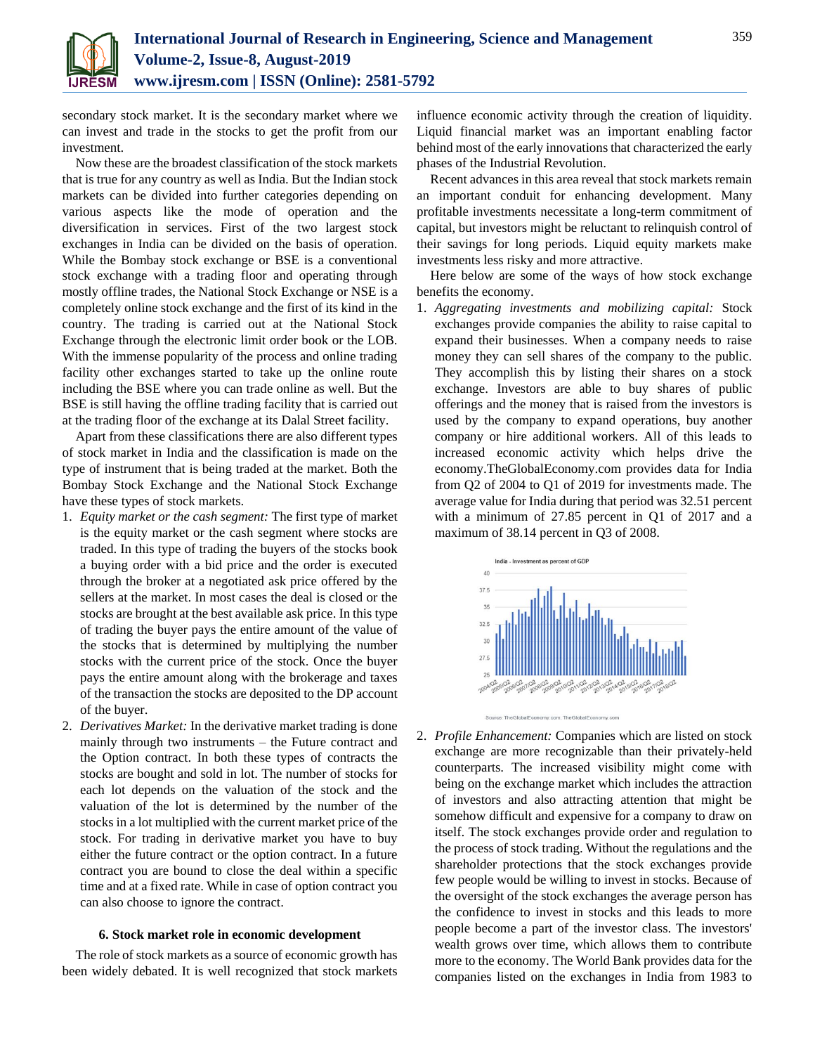

secondary stock market. It is the secondary market where we can invest and trade in the stocks to get the profit from our investment.

Now these are the broadest classification of the stock markets that is true for any country as well as India. But the Indian stock markets can be divided into further categories depending on various aspects like the mode of operation and the diversification in services. First of the two largest stock exchanges in India can be divided on the basis of operation. While the Bombay stock exchange or BSE is a conventional stock exchange with a trading floor and operating through mostly offline trades, the National Stock Exchange or NSE is a completely online stock exchange and the first of its kind in the country. The trading is carried out at the National Stock Exchange through the electronic limit order book or the LOB. With the immense popularity of the process and online trading facility other exchanges started to take up the online route including the BSE where you can trade online as well. But the BSE is still having the offline trading facility that is carried out at the trading floor of the exchange at its Dalal Street facility.

Apart from these classifications there are also different types of stock market in India and the classification is made on the type of instrument that is being traded at the market. Both the Bombay Stock Exchange and the National Stock Exchange have these types of stock markets.

- 1. *Equity market or the cash segment:* The first type of market is the equity market or the cash segment where stocks are traded. In this type of trading the buyers of the stocks book a buying order with a bid price and the order is executed through the broker at a negotiated ask price offered by the sellers at the market. In most cases the deal is closed or the stocks are brought at the best available ask price. In this type of trading the buyer pays the entire amount of the value of the stocks that is determined by multiplying the number stocks with the current price of the stock. Once the buyer pays the entire amount along with the brokerage and taxes of the transaction the stocks are deposited to the DP account of the buyer.
- 2. *Derivatives Market:* In the derivative market trading is done mainly through two instruments – the Future contract and the Option contract. In both these types of contracts the stocks are bought and sold in lot. The number of stocks for each lot depends on the valuation of the stock and the valuation of the lot is determined by the number of the stocks in a lot multiplied with the current market price of the stock. For trading in derivative market you have to buy either the future contract or the option contract. In a future contract you are bound to close the deal within a specific time and at a fixed rate. While in case of option contract you can also choose to ignore the contract.

### **6. Stock market role in economic development**

The role of stock markets as a source of economic growth has been widely debated. It is well recognized that stock markets

influence economic activity through the creation of liquidity. Liquid financial market was an important enabling factor behind most of the early innovations that characterized the early phases of the Industrial Revolution.

Recent advances in this area reveal that stock markets remain an important conduit for enhancing development. Many profitable investments necessitate a long-term commitment of capital, but investors might be reluctant to relinquish control of their savings for long periods. Liquid equity markets make investments less risky and more attractive.

Here below are some of the ways of how stock exchange benefits the economy.

1. *Aggregating investments and mobilizing capital:* Stock exchanges provide companies the ability to raise capital to expand their businesses. When a company needs to raise money they can sell shares of the company to the public. They accomplish this by listing their shares on a stock exchange. Investors are able to buy shares of public offerings and the money that is raised from the investors is used by the company to expand operations, buy another company or hire additional workers. All of this leads to increased economic activity which helps drive the economy.TheGlobalEconomy.com provides data for India from Q2 of 2004 to Q1 of 2019 for investments made. The average value for India during that period was 32.51 percent with a minimum of 27.85 percent in Q1 of 2017 and a maximum of 38.14 percent in Q3 of 2008.



2. *Profile Enhancement:* Companies which are listed on stock exchange are more recognizable than their privately-held counterparts. The increased visibility might come with being on the exchange market which includes the attraction of investors and also attracting attention that might be somehow difficult and expensive for a company to draw on itself. The stock exchanges provide order and regulation to the process of stock trading. Without the regulations and the shareholder protections that the stock exchanges provide few people would be willing to invest in stocks. Because of the oversight of the stock exchanges the average person has the confidence to invest in stocks and this leads to more people become a part of the investor class. The investors' wealth grows over time, which allows them to contribute more to the economy. The World Bank provides data for the companies listed on the exchanges in India from 1983 to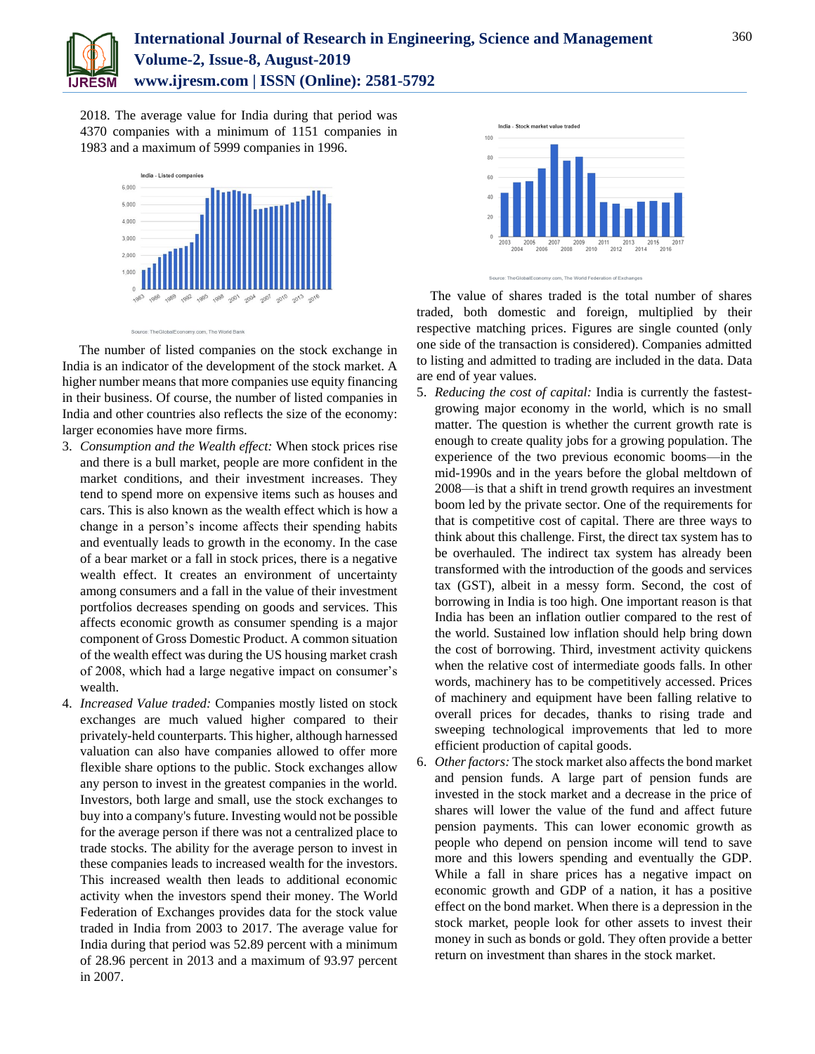

# **International Journal of Research in Engineering, Science and Management Volume-2, Issue-8, August-2019 www.ijresm.com | ISSN (Online): 2581-5792**

2018. The average value for India during that period was 4370 companies with a minimum of 1151 companies in 1983 and a maximum of 5999 companies in 1996.



The number of listed companies on the stock exchange in India is an indicator of the development of the stock market. A higher number means that more companies use equity financing in their business. Of course, the number of listed companies in India and other countries also reflects the size of the economy: larger economies have more firms.

- 3. *Consumption and the Wealth effect:* When stock prices rise and there is a bull market, people are more confident in the market conditions, and their investment increases. They tend to spend more on expensive items such as houses and cars. This is also known as the wealth effect which is how a change in a person's income affects their spending habits and eventually leads to growth in the economy. In the case of a bear market or a fall in stock prices, there is a negative wealth effect. It creates an environment of uncertainty among consumers and a fall in the value of their investment portfolios decreases spending on goods and services. This affects economic growth as consumer spending is a major component of Gross Domestic Product. A common situation of the wealth effect was during the US housing market crash of 2008, which had a large negative impact on consumer's wealth.
- 4. *Increased Value traded:* Companies mostly listed on stock exchanges are much valued higher compared to their privately-held counterparts. This higher, although harnessed valuation can also have companies allowed to offer more flexible share options to the public. Stock exchanges allow any person to invest in the greatest companies in the world. Investors, both large and small, use the stock exchanges to buy into a company's future. Investing would not be possible for the average person if there was not a centralized place to trade stocks. The ability for the average person to invest in these companies leads to increased wealth for the investors. This increased wealth then leads to additional economic activity when the investors spend their money. The World Federation of Exchanges provides data for the stock value traded in India from 2003 to 2017. The average value for India during that period was 52.89 percent with a minimum of 28.96 percent in 2013 and a maximum of 93.97 percent in 2007.





The value of shares traded is the total number of shares traded, both domestic and foreign, multiplied by their respective matching prices. Figures are single counted (only one side of the transaction is considered). Companies admitted to listing and admitted to trading are included in the data. Data are end of year values.

- 5. *Reducing the cost of capital:* India is currently the fastestgrowing major economy in the world, which is no small matter. The question is whether the current growth rate is enough to create quality jobs for a growing population. The experience of the two previous economic booms—in the mid-1990s and in the years before the global meltdown of 2008—is that a shift in trend growth requires an investment boom led by the private sector. One of the requirements for that is competitive cost of capital. There are three ways to think about this challenge. First, the direct tax system has to be overhauled. The indirect tax system has already been transformed with the introduction of the goods and services tax (GST), albeit in a messy form. Second, the cost of borrowing in India is too high. One important reason is that India has been an inflation outlier compared to the rest of the world. Sustained low inflation should help bring down the cost of borrowing. Third, investment activity quickens when the relative cost of intermediate goods falls. In other words, machinery has to be competitively accessed. Prices of machinery and equipment have been falling relative to overall prices for decades, thanks to rising trade and sweeping technological improvements that led to more efficient production of capital goods.
- 6. *Other factors:* The stock market also affects the bond market and pension funds. A large part of pension funds are invested in the stock market and a decrease in the price of shares will lower the value of the fund and affect future pension payments. This can lower economic growth as people who depend on pension income will tend to save more and this lowers spending and eventually the GDP. While a fall in share prices has a negative impact on economic growth and GDP of a nation, it has a positive effect on the bond market. When there is a depression in the stock market, people look for other assets to invest their money in such as bonds or gold. They often provide a better return on investment than shares in the stock market.